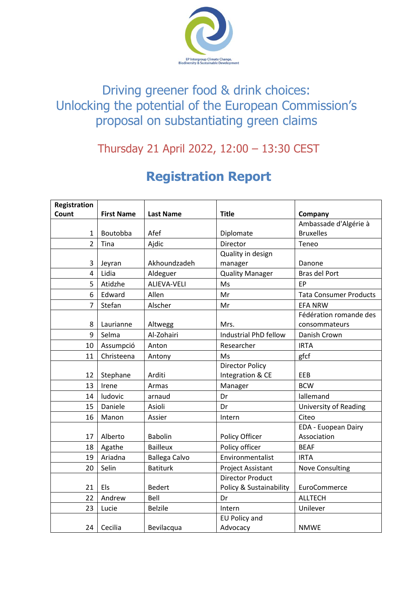

## Driving greener food & drink choices: Unlocking the potential of the European Commission's proposal on substantiating green claims

## Thursday 21 April 2022, 12:00 – 13:30 CEST

## **Registration Report**

| <b>Registration</b> |                   |                      |                          |                               |
|---------------------|-------------------|----------------------|--------------------------|-------------------------------|
| Count               | <b>First Name</b> | <b>Last Name</b>     | <b>Title</b>             | Company                       |
|                     |                   |                      |                          | Ambassade d'Algérie à         |
| 1                   | Boutobba          | Afef                 | Diplomate                | <b>Bruxelles</b>              |
| $\overline{2}$      | Tina              | Ajdic                | Director                 | Teneo                         |
|                     |                   |                      | Quality in design        |                               |
| 3                   | Jeyran            | Akhoundzadeh         | manager                  | Danone                        |
| 4                   | Lidia             | Aldeguer             | <b>Quality Manager</b>   | Bras del Port                 |
| 5                   | Atidzhe           | <b>ALIEVA-VELI</b>   | Ms                       | EP                            |
| 6                   | Edward            | Allen                | Mr                       | <b>Tata Consumer Products</b> |
| 7                   | Stefan            | Alscher              | Mr                       | <b>EFA NRW</b>                |
|                     |                   |                      |                          | Fédération romande des        |
| 8                   | Laurianne         | Altwegg              | Mrs.                     | consommateurs                 |
| 9                   | Selma             | Al-Zohairi           | Industrial PhD fellow    | Danish Crown                  |
| 10                  | Assumpció         | Anton                | Researcher               | <b>IRTA</b>                   |
| 11                  | Christeena        | Antony               | Ms                       | gfcf                          |
|                     |                   |                      | <b>Director Policy</b>   |                               |
| 12                  | Stephane          | Arditi               | Integration & CE         | EEB                           |
| 13                  | Irene             | Armas                | Manager                  | <b>BCW</b>                    |
| 14                  | ludovic           | arnaud               | Dr                       | lallemand                     |
| 15                  | Daniele           | Asioli               | Dr                       | University of Reading         |
| 16                  | Manon             | Assier               | Intern                   | Citeo                         |
|                     |                   |                      |                          | EDA - Euopean Dairy           |
| 17                  | Alberto           | <b>Babolin</b>       | Policy Officer           | Association                   |
| 18                  | Agathe            | <b>Bailleux</b>      | Policy officer           | <b>BEAF</b>                   |
| 19                  | Ariadna           | <b>Ballega Calvo</b> | Environmentalist         | <b>IRTA</b>                   |
| 20                  | Selin             | <b>Batiturk</b>      | <b>Project Assistant</b> | <b>Nove Consulting</b>        |
|                     |                   |                      | <b>Director Product</b>  |                               |
| 21                  | Els               | <b>Bedert</b>        | Policy & Sustainability  | EuroCommerce                  |
| 22                  | Andrew            | Bell                 | Dr                       | <b>ALLTECH</b>                |
| 23                  | Lucie             | <b>Belzile</b>       | Intern                   | Unilever                      |
|                     |                   |                      | <b>EU Policy and</b>     |                               |
| 24                  | Cecilia           | Bevilacqua           | Advocacy                 | <b>NMWE</b>                   |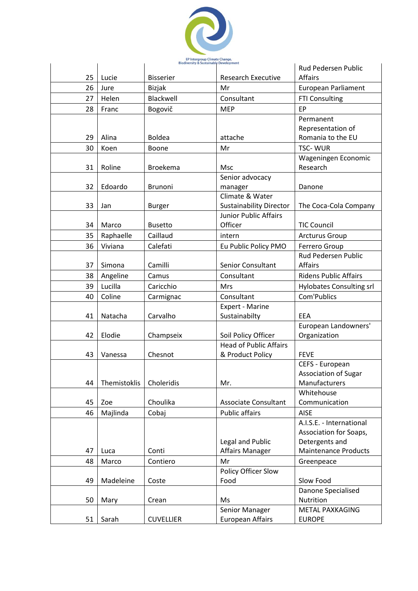

|    |              |                  |                                | Rud Pedersen Public             |
|----|--------------|------------------|--------------------------------|---------------------------------|
| 25 | Lucie        | <b>Bisserier</b> | <b>Research Executive</b>      | <b>Affairs</b>                  |
| 26 | Jure         | Bizjak           | Mr                             | European Parliament             |
| 27 | Helen        | Blackwell        | Consultant                     | <b>FTI Consulting</b>           |
| 28 | Franc        | Bogovič          | <b>MEP</b>                     | EP                              |
|    |              |                  |                                | Permanent                       |
|    |              |                  |                                | Representation of               |
| 29 | Alina        | <b>Boldea</b>    | attache                        | Romania to the EU               |
| 30 | Koen         | Boone            | Mr                             | <b>TSC-WUR</b>                  |
|    |              |                  |                                | Wageningen Economic             |
| 31 | Roline       | <b>Broekema</b>  | Msc                            | Research                        |
|    |              |                  | Senior advocacy                |                                 |
| 32 | Edoardo      | Brunoni          | manager<br>Climate & Water     | Danone                          |
| 33 | Jan          | <b>Burger</b>    | <b>Sustainability Director</b> | The Coca-Cola Company           |
|    |              |                  | <b>Junior Public Affairs</b>   |                                 |
| 34 | Marco        | <b>Busetto</b>   | Officer                        | <b>TIC Council</b>              |
| 35 | Raphaelle    | Caillaud         | intern                         | <b>Arcturus Group</b>           |
| 36 | Viviana      | Calefati         | Eu Public Policy PMO           | Ferrero Group                   |
|    |              |                  |                                | Rud Pedersen Public             |
| 37 | Simona       | Camilli          | Senior Consultant              | <b>Affairs</b>                  |
| 38 | Angeline     | Camus            | Consultant                     | <b>Ridens Public Affairs</b>    |
| 39 | Lucilla      | Caricchio        | Mrs                            | <b>Hylobates Consulting srl</b> |
| 40 | Coline       | Carmignac        | Consultant                     | Com'Publics                     |
|    |              |                  | Expert - Marine                |                                 |
| 41 | Natacha      | Carvalho         | Sustainabilty                  | EEA                             |
|    |              |                  |                                | European Landowners'            |
| 42 | Elodie       | Champseix        | Soil Policy Officer            | Organization                    |
|    |              |                  | <b>Head of Public Affairs</b>  |                                 |
| 43 | Vanessa      | Chesnot          | & Product Policy               | <b>FEVE</b>                     |
|    |              |                  |                                | CEFS - European                 |
|    |              |                  |                                | <b>Association of Sugar</b>     |
| 44 | Themistoklis | Choleridis       | Mr.                            | Manufacturers<br>Whitehouse     |
| 45 | Zoe          | Choulika         | <b>Associate Consultant</b>    | Communication                   |
| 46 | Majlinda     | Cobaj            | <b>Public affairs</b>          | <b>AISE</b>                     |
|    |              |                  |                                | A.I.S.E. - International        |
|    |              |                  |                                | Association for Soaps,          |
|    |              |                  | Legal and Public               | Detergents and                  |
| 47 | Luca         | Conti            | <b>Affairs Manager</b>         | <b>Maintenance Products</b>     |
| 48 | Marco        | Contiero         | Mr                             | Greenpeace                      |
|    |              |                  | Policy Officer Slow            |                                 |
| 49 | Madeleine    | Coste            | Food                           | Slow Food                       |
|    |              |                  |                                | Danone Specialised              |
| 50 | Mary         | Crean            | Ms                             | Nutrition                       |
|    |              |                  | Senior Manager                 | <b>METAL PAXKAGING</b>          |
| 51 | Sarah        | <b>CUVELLIER</b> | <b>European Affairs</b>        | <b>EUROPE</b>                   |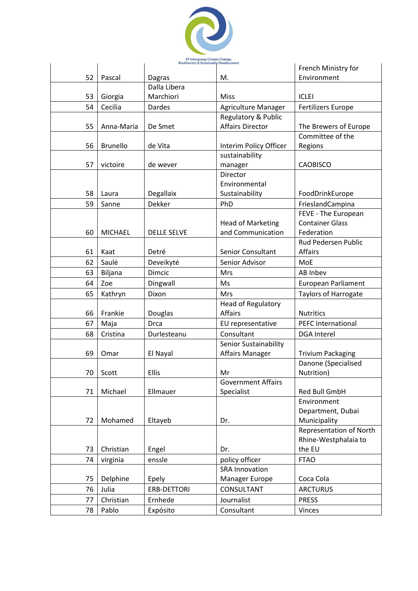

|    |                 |                    |                                               | French Ministry for                           |
|----|-----------------|--------------------|-----------------------------------------------|-----------------------------------------------|
| 52 | Pascal          | Dagras             | М.                                            | Environment                                   |
|    |                 | Dalla Libera       |                                               |                                               |
| 53 | Giorgia         | Marchiori          | Miss                                          | <b>ICLEI</b>                                  |
| 54 | Cecilia         | Dardes             | Agriculture Manager                           | <b>Fertilizers Europe</b>                     |
|    |                 |                    | Regulatory & Public                           |                                               |
| 55 | Anna-Maria      | De Smet            | <b>Affairs Director</b>                       | The Brewers of Europe                         |
|    |                 |                    |                                               | Committee of the                              |
| 56 | <b>Brunello</b> | de Vita            | Interim Policy Officer                        | Regions                                       |
|    |                 |                    | sustainability                                |                                               |
| 57 | victoire        | de wever           | manager                                       | <b>CAOBISCO</b>                               |
|    |                 |                    | Director                                      |                                               |
|    |                 |                    | Environmental                                 |                                               |
| 58 | Laura           | Degallaix          | Sustainability                                | FoodDrinkEurope                               |
| 59 | Sanne           | <b>Dekker</b>      | PhD                                           | FrieslandCampina                              |
|    |                 |                    |                                               | FEVE - The European<br><b>Container Glass</b> |
| 60 | <b>MICHAEL</b>  | <b>DELLE SELVE</b> | <b>Head of Marketing</b><br>and Communication | Federation                                    |
|    |                 |                    |                                               | Rud Pedersen Public                           |
| 61 | Kaat            | Detré              | Senior Consultant                             | Affairs                                       |
| 62 | Saulė           | Deveikytė          | Senior Advisor                                | MoE                                           |
| 63 | Biljana         | Dimcic             | Mrs                                           | AB Inbev                                      |
|    | Zoe             |                    | Ms                                            |                                               |
| 64 |                 | Dingwall           |                                               | <b>European Parliament</b>                    |
| 65 | Kathryn         | Dixon              | Mrs                                           | Taylors of Harrogate                          |
| 66 | Frankie         | Douglas            | Head of Regulatory<br><b>Affairs</b>          | <b>Nutritics</b>                              |
| 67 |                 | <b>Drca</b>        |                                               | <b>PEFC International</b>                     |
|    | Maja            |                    | EU representative                             |                                               |
| 68 | Cristina        | Durlesteanu        | Consultant<br>Senior Sustainability           | <b>DGA</b> Interel                            |
| 69 | Omar            | El Nayal           | <b>Affairs Manager</b>                        | <b>Trivium Packaging</b>                      |
|    |                 |                    |                                               | Danone (Specialised                           |
| 70 | Scott           | Ellis              | Mr                                            | Nutrition)                                    |
|    |                 |                    | <b>Government Affairs</b>                     |                                               |
| 71 | Michael         | Ellmauer           | Specialist                                    | Red Bull GmbH                                 |
|    |                 |                    |                                               | Environment                                   |
|    |                 |                    |                                               | Department, Dubai                             |
| 72 | Mohamed         | Eltayeb            | Dr.                                           | Municipality                                  |
|    |                 |                    |                                               | Representation of North                       |
|    |                 |                    |                                               | Rhine-Westphalaia to                          |
| 73 | Christian       | Engel              | Dr.                                           | the EU                                        |
| 74 | virginia        | enssle             | policy officer                                | <b>FTAO</b>                                   |
|    |                 |                    | <b>SRA Innovation</b>                         |                                               |
| 75 | Delphine        | Epely              | Manager Europe                                | Coca Cola                                     |
| 76 | Julia           | ERB-DETTORI        | CONSULTANT                                    | <b>ARCTURUS</b>                               |
| 77 | Christian       | Ernhede            | Journalist                                    | <b>PRESS</b>                                  |
| 78 | Pablo           | Expósito           | Consultant                                    | Vinces                                        |
|    |                 |                    |                                               |                                               |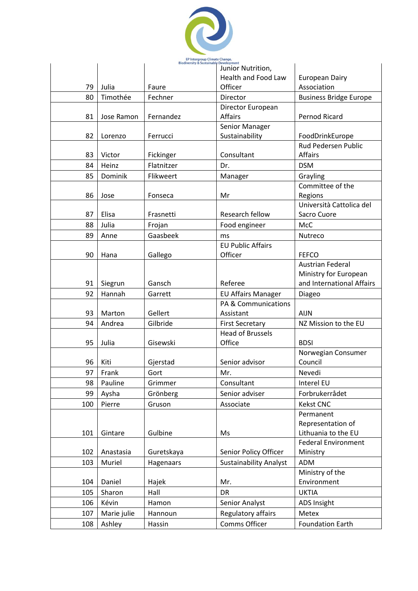

|     |             |            | Junior Nutrition,             |                               |
|-----|-------------|------------|-------------------------------|-------------------------------|
|     |             |            | <b>Health and Food Law</b>    | <b>European Dairy</b>         |
| 79  | Julia       | Faure      | Officer                       | Association                   |
| 80  | Timothée    | Fechner    | Director                      | <b>Business Bridge Europe</b> |
|     |             |            | Director European             |                               |
| 81  | Jose Ramon  | Fernandez  | <b>Affairs</b>                | <b>Pernod Ricard</b>          |
|     |             |            | Senior Manager                |                               |
| 82  | Lorenzo     | Ferrucci   | Sustainability                | FoodDrinkEurope               |
|     |             |            |                               | Rud Pedersen Public           |
| 83  | Victor      | Fickinger  | Consultant                    | <b>Affairs</b>                |
| 84  | Heinz       | Flatnitzer | Dr.                           | <b>DSM</b>                    |
| 85  | Dominik     | Flikweert  | Manager                       | Grayling                      |
|     |             |            |                               | Committee of the              |
| 86  | Jose        | Fonseca    | Mr                            | Regions                       |
|     |             |            |                               | Università Cattolica del      |
| 87  | Elisa       | Frasnetti  | Research fellow               | Sacro Cuore                   |
| 88  | Julia       | Frojan     | Food engineer                 | <b>McC</b>                    |
| 89  | Anne        | Gaasbeek   | ms                            | Nutreco                       |
|     |             |            | <b>EU Public Affairs</b>      |                               |
| 90  | Hana        | Gallego    | Officer                       | <b>FEFCO</b>                  |
|     |             |            |                               | <b>Austrian Federal</b>       |
|     |             |            |                               | Ministry for European         |
| 91  | Siegrun     | Gansch     | Referee                       | and International Affairs     |
| 92  | Hannah      | Garrett    | <b>EU Affairs Manager</b>     | Diageo                        |
|     |             |            | PA & Communications           |                               |
| 93  | Marton      | Gellert    | Assistant                     | <b>AIJN</b>                   |
| 94  | Andrea      | Gilbride   | <b>First Secretary</b>        | NZ Mission to the EU          |
|     |             |            | <b>Head of Brussels</b>       |                               |
| 95  | Julia       | Gisewski   | Office                        | <b>BDSI</b>                   |
|     |             |            |                               | Norwegian Consumer            |
| 96  | Kiti        | Gjerstad   | Senior advisor                | Council                       |
| 97  | Frank       | Gort       | Mr.                           | Nevedi                        |
| 98  | Pauline     | Grimmer    | Consultant                    | Interel EU                    |
| 99  | Aysha       | Grönberg   | Senior adviser                | Forbrukerrådet                |
| 100 | Pierre      | Gruson     | Associate                     | <b>Kekst CNC</b>              |
|     |             |            |                               | Permanent                     |
|     |             |            |                               | Representation of             |
| 101 | Gintare     | Gulbine    | Ms                            | Lithuania to the EU           |
|     |             |            |                               | <b>Federal Environment</b>    |
| 102 | Anastasia   | Guretskaya | Senior Policy Officer         | Ministry                      |
| 103 | Muriel      | Hagenaars  | <b>Sustainability Analyst</b> | ADM                           |
|     |             |            |                               | Ministry of the               |
| 104 | Daniel      | Hajek      | Mr.                           | Environment                   |
| 105 | Sharon      | Hall       | <b>DR</b>                     | <b>UKTIA</b>                  |
| 106 | Kévin       | Hamon      | Senior Analyst                | <b>ADS Insight</b>            |
| 107 | Marie julie | Hannoun    | Regulatory affairs            | Metex                         |
| 108 | Ashley      | Hassin     | Comms Officer                 | <b>Foundation Earth</b>       |
|     |             |            |                               |                               |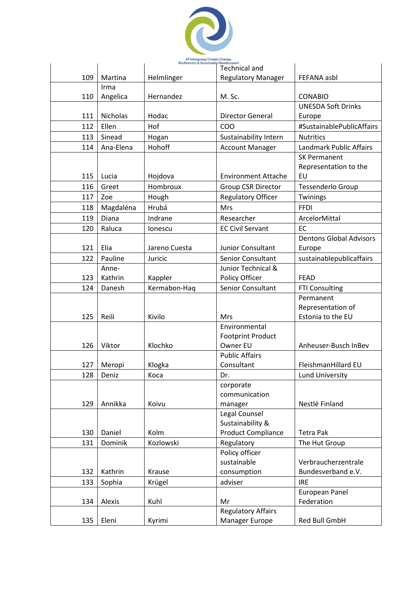

|     |                | piouiversity & pustalilabi | Development<br><b>Technical and</b>  |                                |
|-----|----------------|----------------------------|--------------------------------------|--------------------------------|
| 109 | Martina        | Helmlinger                 | <b>Regulatory Manager</b>            | FEFANA asbl                    |
|     | Irma           |                            |                                      |                                |
| 110 | Angelica       | Hernandez                  | M. Sc.                               | <b>CONABIO</b>                 |
|     |                |                            |                                      | <b>UNESDA Soft Drinks</b>      |
| 111 | Nicholas       | Hodac                      | <b>Director General</b>              | Europe                         |
| 112 | Ellen          | Hof                        | COO                                  | #SustainablePublicAffairs      |
| 113 | Sinead         | Hogan                      | Sustainability Intern                | <b>Nutritics</b>               |
| 114 | Ana-Elena      | Hohoff                     | <b>Account Manager</b>               | <b>Landmark Public Affairs</b> |
|     |                |                            |                                      | <b>SK Permanent</b>            |
|     |                |                            |                                      | Representation to the          |
| 115 | Lucia          | Hojdova                    | <b>Environment Attache</b>           | EU                             |
| 116 | Greet          | Hombroux                   | <b>Group CSR Director</b>            | Tessenderlo Group              |
| 117 | Zoe            | Hough                      | <b>Regulatory Officer</b>            | Twinings                       |
| 118 | Magdaléna      | Hrubá                      | <b>Mrs</b>                           | <b>FFDI</b>                    |
| 119 | Diana          | Indrane                    | Researcher                           | ArcelorMittal                  |
| 120 | Raluca         | lonescu                    | <b>EC Civil Servant</b>              | EC                             |
|     |                |                            |                                      | <b>Dentons Global Advisors</b> |
| 121 | Elia           | Jareno Cuesta              | Junior Consultant                    | Europe                         |
| 122 | Pauline        | Juricic                    | Senior Consultant                    | sustainablepublicaffairs       |
|     | Anne-          |                            | Junior Technical &                   |                                |
| 123 | Kathrin        | Kappler                    | Policy Officer                       | <b>FEAD</b>                    |
| 124 | Danesh         | Kermabon-Haq               | Senior Consultant                    | <b>FTI Consulting</b>          |
|     |                |                            |                                      | Permanent                      |
|     |                |                            |                                      | Representation of              |
| 125 | Reili          | Kivilo                     | <b>Mrs</b>                           | Estonia to the EU              |
|     |                |                            | Environmental                        |                                |
| 126 | Viktor         | Klochko                    | <b>Footprint Product</b><br>Owner EU | Anheuser-Busch InBev           |
|     |                |                            | <b>Public Affairs</b>                |                                |
| 127 | Meropi         | Klogka                     | Consultant                           | FleishmanHillard EU            |
| 128 | Deniz          | Koca                       | Dr.                                  | <b>Lund University</b>         |
|     |                |                            | corporate                            |                                |
|     |                |                            | communication                        |                                |
| 129 | Annikka        | Koivu                      | manager                              | Nestlé Finland                 |
|     |                |                            | Legal Counsel                        |                                |
|     |                |                            | Sustainability &                     |                                |
| 130 | Daniel         | Kolm                       | <b>Product Compliance</b>            | <b>Tetra Pak</b>               |
| 131 | <b>Dominik</b> | Kozlowski                  | Regulatory                           | The Hut Group                  |
|     |                |                            | Policy officer                       |                                |
|     |                |                            | sustainable                          | Verbraucherzentrale            |
| 132 | Kathrin        | Krause                     | consumption                          | Bundesverband e.V.             |
| 133 | Sophia         | Krügel                     | adviser                              | <b>IRE</b>                     |
|     |                |                            |                                      | European Panel                 |
| 134 | Alexis         | Kuhl                       | Mr                                   | Federation                     |
|     |                |                            | <b>Regulatory Affairs</b>            |                                |
| 135 | Eleni          | Kyrimi                     | Manager Europe                       | Red Bull GmbH                  |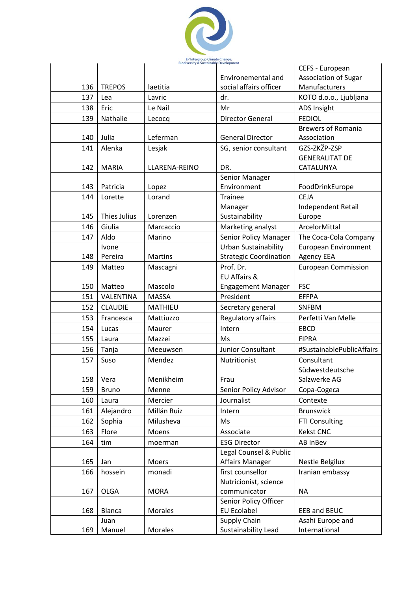

|     |                     | EP Intergroup Climate Change,<br>Biodiversity & Sustainable Development |                               |                             |
|-----|---------------------|-------------------------------------------------------------------------|-------------------------------|-----------------------------|
|     |                     |                                                                         |                               | CEFS - European             |
|     |                     |                                                                         | Environemental and            | <b>Association of Sugar</b> |
| 136 | <b>TREPOS</b>       | laetitia                                                                | social affairs officer        | Manufacturers               |
| 137 | Lea                 | Lavric                                                                  | dr.                           | KOTO d.o.o., Ljubljana      |
| 138 | Eric                | Le Nail                                                                 | Mr                            | <b>ADS Insight</b>          |
| 139 | Nathalie            | Lecocq                                                                  | <b>Director General</b>       | <b>FEDIOL</b>               |
|     |                     |                                                                         |                               | <b>Brewers of Romania</b>   |
| 140 | Julia               | Leferman                                                                | <b>General Director</b>       | Association                 |
| 141 | Alenka              | Lesjak                                                                  | SG, senior consultant         | GZS-ZKŽP-ZSP                |
|     |                     |                                                                         |                               | <b>GENERALITAT DE</b>       |
| 142 | <b>MARIA</b>        | LLARENA-REINO                                                           | DR.                           | CATALUNYA                   |
|     |                     |                                                                         | Senior Manager                |                             |
| 143 | Patricia            | Lopez                                                                   | Environment                   | FoodDrinkEurope             |
| 144 | Lorette             | Lorand                                                                  | <b>Trainee</b>                | <b>CEJA</b>                 |
|     |                     |                                                                         | Manager                       | Independent Retail          |
| 145 | <b>Thies Julius</b> | Lorenzen                                                                | Sustainability                | Europe                      |
| 146 | Giulia              | Marcaccio                                                               | Marketing analyst             | ArcelorMittal               |
| 147 | Aldo                | Marino                                                                  | Senior Policy Manager         | The Coca-Cola Company       |
|     | Ivone               |                                                                         | <b>Urban Sustainability</b>   | <b>European Environment</b> |
| 148 | Pereira             | <b>Martins</b>                                                          | <b>Strategic Coordination</b> | <b>Agency EEA</b>           |
| 149 | Matteo              | Mascagni                                                                | Prof. Dr.                     | <b>European Commission</b>  |
|     |                     |                                                                         | <b>EU Affairs &amp;</b>       |                             |
| 150 | Matteo              | Mascolo                                                                 | <b>Engagement Manager</b>     | <b>FSC</b>                  |
| 151 | VALENTINA           | <b>MASSA</b>                                                            | President                     | <b>EFFPA</b>                |
| 152 | <b>CLAUDIE</b>      | <b>MATHIEU</b>                                                          | Secretary general             | <b>SNFBM</b>                |
| 153 | Francesca           | Mattiuzzo                                                               | Regulatory affairs            | Perfetti Van Melle          |
| 154 | Lucas               | Maurer                                                                  | Intern                        | <b>EBCD</b>                 |
| 155 | Laura               | Mazzei                                                                  | Ms                            | <b>FIPRA</b>                |
| 156 | Tanja               | Meeuwsen                                                                | Junior Consultant             | #SustainablePublicAffairs   |
| 157 | Suso                | Mendez                                                                  | Nutritionist                  | Consultant                  |
|     |                     |                                                                         |                               | Südwestdeutsche             |
| 158 | Vera                | Menikheim                                                               | Frau                          | Salzwerke AG                |
| 159 | <b>Bruno</b>        | Menne                                                                   | Senior Policy Advisor         | Copa-Cogeca                 |
| 160 | Laura               | Mercier                                                                 | Journalist                    | Contexte                    |
| 161 | Alejandro           | Millán Ruiz                                                             | Intern                        | <b>Brunswick</b>            |
| 162 | Sophia              | Milusheva                                                               | Ms                            | <b>FTI Consulting</b>       |
| 163 | Flore               | Moens                                                                   | Associate                     | <b>Kekst CNC</b>            |
| 164 | tim                 | moerman                                                                 | <b>ESG Director</b>           | AB InBev                    |
|     |                     |                                                                         | Legal Counsel & Public        |                             |
| 165 | Jan                 | Moers                                                                   | <b>Affairs Manager</b>        | Nestle Belgilux             |
| 166 | hossein             | monadi                                                                  | first counsellor              | Iranian embassy             |
|     |                     |                                                                         | Nutricionist, science         |                             |
| 167 | <b>OLGA</b>         | <b>MORA</b>                                                             | communicator                  | <b>NA</b>                   |
|     |                     |                                                                         | Senior Policy Officer         |                             |
| 168 | Blanca              | Morales                                                                 | <b>EU Ecolabel</b>            | EEB and BEUC                |
|     | Juan                |                                                                         | Supply Chain                  | Asahi Europe and            |
| 169 | Manuel              | Morales                                                                 | Sustainability Lead           | International               |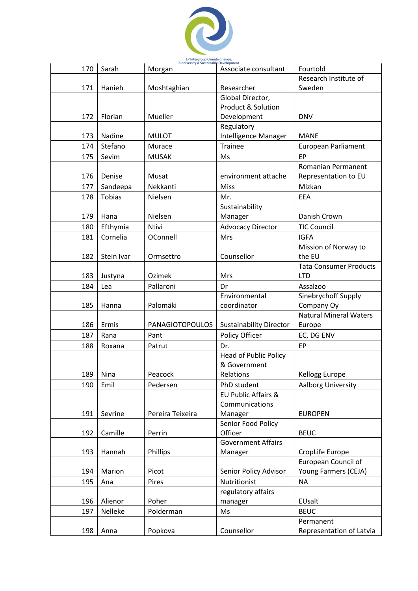

| 170 | Sarah         | <b>Biodiversity &amp; Sustainable Development</b><br>Morgan | Associate consultant           | Fourtold                                    |
|-----|---------------|-------------------------------------------------------------|--------------------------------|---------------------------------------------|
|     |               |                                                             |                                | Research Institute of                       |
| 171 | Hanieh        | Moshtaghian                                                 | Researcher                     | Sweden                                      |
|     |               |                                                             | Global Director,               |                                             |
|     |               |                                                             | Product & Solution             |                                             |
| 172 | Florian       | Mueller                                                     | Development                    | <b>DNV</b>                                  |
|     |               |                                                             | Regulatory                     |                                             |
| 173 | Nadine        | <b>MULOT</b>                                                | Intelligence Manager           | <b>MANE</b>                                 |
| 174 | Stefano       | Murace                                                      | <b>Trainee</b>                 | <b>European Parliament</b>                  |
| 175 | Sevim         | <b>MUSAK</b>                                                | Ms                             | EP                                          |
|     |               |                                                             |                                | Romanian Permanent                          |
| 176 | Denise        | Musat                                                       | environment attache            | Representation to EU                        |
| 177 | Sandeepa      | Nekkanti                                                    | Miss                           | Mizkan                                      |
| 178 | <b>Tobias</b> | Nielsen                                                     | Mr.                            | EEA                                         |
|     |               |                                                             | Sustainability                 |                                             |
| 179 | Hana          | Nielsen                                                     | Manager                        | Danish Crown                                |
| 180 | Efthymia      | <b>Ntivi</b>                                                | <b>Advocacy Director</b>       | <b>TIC Council</b>                          |
| 181 | Cornelia      | OConnell                                                    | <b>Mrs</b>                     | <b>IGFA</b>                                 |
|     |               |                                                             |                                | Mission of Norway to                        |
| 182 | Stein Ivar    | Ormsettro                                                   | Counsellor                     | the EU                                      |
|     |               |                                                             |                                | <b>Tata Consumer Products</b>               |
| 183 | Justyna       | Ozimek                                                      | Mrs                            | <b>LTD</b>                                  |
| 184 | Lea           | Pallaroni                                                   | Dr                             | Assalzoo                                    |
|     |               |                                                             | Environmental                  | Sinebrychoff Supply                         |
| 185 | Hanna         | Palomäki                                                    | coordinator                    | Company Oy                                  |
|     |               |                                                             |                                | <b>Natural Mineral Waters</b>               |
| 186 | Ermis         | <b>PANAGIOTOPOULOS</b>                                      | <b>Sustainability Director</b> | Europe                                      |
| 187 | Rana          | Pant                                                        | Policy Officer                 | EC, DG ENV                                  |
| 188 | Roxana        | Patrut                                                      | Dr.                            | EP                                          |
|     |               |                                                             | <b>Head of Public Policy</b>   |                                             |
|     |               |                                                             | & Government                   |                                             |
| 189 | Nina          | Peacock                                                     | <b>Relations</b>               | Kellogg Europe                              |
| 190 | Emil          | Pedersen                                                    | PhD student                    | Aalborg University                          |
|     |               |                                                             | EU Public Affairs &            |                                             |
|     |               |                                                             | Communications                 |                                             |
| 191 | Sevrine       | Pereira Teixeira                                            | Manager                        | <b>EUROPEN</b>                              |
|     |               |                                                             | Senior Food Policy             |                                             |
| 192 | Camille       | Perrin                                                      | Officer                        | <b>BEUC</b>                                 |
|     |               |                                                             | <b>Government Affairs</b>      |                                             |
| 193 | Hannah        | Phillips                                                    | Manager                        | CropLife Europe                             |
| 194 | Marion        | Picot                                                       | Senior Policy Advisor          | European Council of<br>Young Farmers (CEJA) |
| 195 |               | Pires                                                       | Nutritionist                   | <b>NA</b>                                   |
|     | Ana           |                                                             | regulatory affairs             |                                             |
| 196 | Alienor       | Poher                                                       | manager                        | EUsalt                                      |
| 197 | Nelleke       | Polderman                                                   | Ms                             | <b>BEUC</b>                                 |
|     |               |                                                             |                                | Permanent                                   |
| 198 | Anna          | Popkova                                                     | Counsellor                     | Representation of Latvia                    |
|     |               |                                                             |                                |                                             |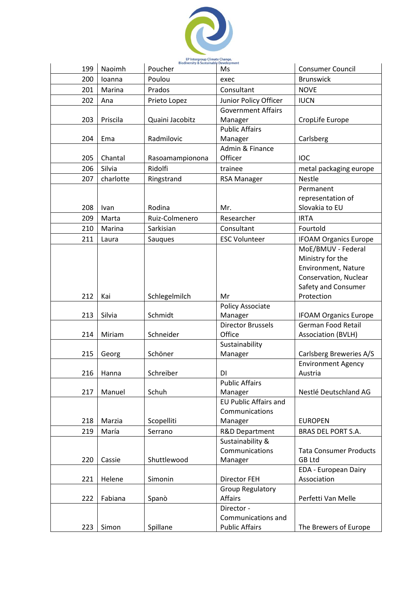

| 199 | Naoimh    | <b>Biodiversity &amp; Sustainable Development</b><br>Poucher | Ms                                 | <b>Consumer Council</b>       |
|-----|-----------|--------------------------------------------------------------|------------------------------------|-------------------------------|
| 200 | loanna    | Poulou                                                       | exec                               | <b>Brunswick</b>              |
| 201 | Marina    | Prados                                                       | Consultant                         | <b>NOVE</b>                   |
| 202 | Ana       | Prieto Lopez                                                 | Junior Policy Officer              | <b>IUCN</b>                   |
|     |           |                                                              | <b>Government Affairs</b>          |                               |
| 203 | Priscila  | Quaini Jacobitz                                              | Manager                            | CropLife Europe               |
|     |           |                                                              | <b>Public Affairs</b>              |                               |
| 204 | Ema       | Radmilovic                                                   | Manager                            | Carlsberg                     |
|     |           |                                                              | Admin & Finance                    |                               |
| 205 | Chantal   | Rasoamampionona                                              | Officer                            | IOC                           |
| 206 | Silvia    | Ridolfi                                                      | trainee                            | metal packaging europe        |
| 207 | charlotte | Ringstrand                                                   | <b>RSA Manager</b>                 | <b>Nestle</b>                 |
|     |           |                                                              |                                    | Permanent                     |
|     |           |                                                              |                                    | representation of             |
| 208 | Ivan      | Rodina                                                       | Mr.                                | Slovakia to EU                |
| 209 | Marta     | Ruiz-Colmenero                                               | Researcher                         | <b>IRTA</b>                   |
| 210 | Marina    | Sarkisian                                                    | Consultant                         | Fourtold                      |
| 211 | Laura     | Saugues                                                      | <b>ESC Volunteer</b>               | <b>IFOAM Organics Europe</b>  |
|     |           |                                                              |                                    | MoE/BMUV - Federal            |
|     |           |                                                              |                                    | Ministry for the              |
|     |           |                                                              |                                    | Environment, Nature           |
|     |           |                                                              |                                    | Conservation, Nuclear         |
|     |           |                                                              |                                    | Safety and Consumer           |
| 212 | Kai       | Schlegelmilch                                                | Mr                                 | Protection                    |
| 213 | Silvia    | Schmidt                                                      | <b>Policy Associate</b><br>Manager | <b>IFOAM Organics Europe</b>  |
|     |           |                                                              | <b>Director Brussels</b>           | German Food Retail            |
| 214 | Miriam    | Schneider                                                    | Office                             | <b>Association (BVLH)</b>     |
|     |           |                                                              | Sustainability                     |                               |
| 215 | Georg     | Schöner                                                      | Manager                            | Carlsberg Breweries A/S       |
|     |           |                                                              |                                    | <b>Environment Agency</b>     |
| 216 | Hanna     | Schreiber                                                    | DI                                 | Austria                       |
|     |           |                                                              | <b>Public Affairs</b>              |                               |
| 217 | Manuel    | Schuh                                                        | Manager                            | Nestlé Deutschland AG         |
|     |           |                                                              | <b>EU Public Affairs and</b>       |                               |
|     |           |                                                              | Communications                     |                               |
| 218 | Marzia    | Scopelliti                                                   | Manager                            | <b>EUROPEN</b>                |
| 219 | María     | Serrano                                                      | R&D Department                     | BRAS DEL PORT S.A.            |
|     |           |                                                              | Sustainability &                   |                               |
|     |           |                                                              | Communications                     | <b>Tata Consumer Products</b> |
| 220 | Cassie    | Shuttlewood                                                  | Manager                            | <b>GB Ltd</b>                 |
|     |           |                                                              |                                    | EDA - European Dairy          |
| 221 | Helene    | Simonin                                                      | <b>Director FEH</b>                | Association                   |
|     |           |                                                              | <b>Group Regulatory</b>            |                               |
| 222 | Fabiana   | Spanò                                                        | <b>Affairs</b>                     | Perfetti Van Melle            |
|     |           |                                                              | Director -<br>Communications and   |                               |
| 223 | Simon     | Spillane                                                     | <b>Public Affairs</b>              | The Brewers of Europe         |
|     |           |                                                              |                                    |                               |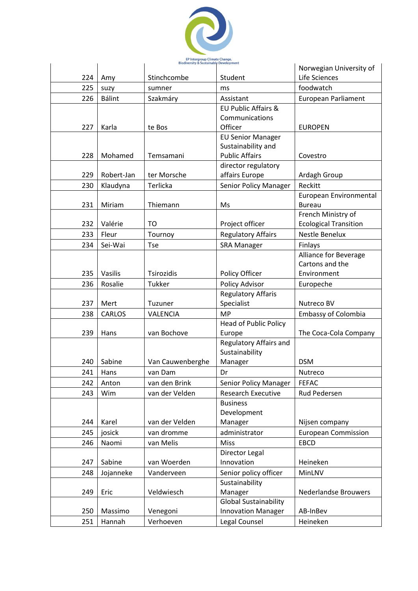

|     |            | <b>Biodiversity &amp; Sustainable Development</b> |                                         | Norwegian University of                 |
|-----|------------|---------------------------------------------------|-----------------------------------------|-----------------------------------------|
| 224 | Amy        | Stinchcombe                                       | Student                                 | Life Sciences                           |
| 225 | suzy       | sumner                                            | ms                                      | foodwatch                               |
| 226 | Bálint     | Szakmáry                                          | Assistant                               | <b>European Parliament</b>              |
|     |            |                                                   | EU Public Affairs &                     |                                         |
|     |            |                                                   | Communications                          |                                         |
| 227 | Karla      | te Bos                                            | Officer                                 | <b>EUROPEN</b>                          |
|     |            |                                                   | <b>EU Senior Manager</b>                |                                         |
|     |            |                                                   | Sustainability and                      |                                         |
| 228 | Mohamed    | Temsamani                                         | <b>Public Affairs</b>                   | Covestro                                |
|     |            |                                                   | director regulatory                     |                                         |
| 229 | Robert-Jan | ter Morsche                                       | affairs Europe                          | Ardagh Group                            |
| 230 | Klaudyna   | Terlicka                                          | Senior Policy Manager                   | Reckitt                                 |
| 231 | Miriam     | Thiemann                                          | Ms                                      | European Environmental<br><b>Bureau</b> |
|     |            |                                                   |                                         | French Ministry of                      |
| 232 | Valérie    | TO                                                | Project officer                         | <b>Ecological Transition</b>            |
| 233 | Fleur      | Tournoy                                           | <b>Regulatory Affairs</b>               | Nestle Benelux                          |
| 234 | Sei-Wai    | Tse                                               | <b>SRA Manager</b>                      | Finlays                                 |
|     |            |                                                   |                                         | <b>Alliance for Beverage</b>            |
|     |            |                                                   |                                         | Cartons and the                         |
| 235 | Vasilis    | Tsirozidis                                        | Policy Officer                          | Environment                             |
| 236 | Rosalie    | Tukker                                            | Policy Advisor                          | Europeche                               |
|     |            |                                                   | <b>Regulatory Affaris</b>               |                                         |
| 237 | Mert       | Tuzuner                                           | Specialist                              | Nutreco BV                              |
| 238 | CARLOS     | VALENCIA                                          | <b>MP</b>                               | <b>Embassy of Colombia</b>              |
|     |            |                                                   | Head of Public Policy                   |                                         |
| 239 | Hans       | van Bochove                                       | Europe                                  | The Coca-Cola Company                   |
|     |            |                                                   | Regulatory Affairs and                  |                                         |
|     |            |                                                   | Sustainability                          |                                         |
| 240 | Sabine     | Van Cauwenberghe                                  | Manager                                 | <b>DSM</b>                              |
| 241 | Hans       | van Dam                                           | Dr                                      | Nutreco                                 |
| 242 | Anton      | van den Brink                                     | Senior Policy Manager                   | <b>FEFAC</b>                            |
| 243 | Wim        | van der Velden                                    | <b>Research Executive</b>               | Rud Pedersen                            |
|     |            |                                                   | <b>Business</b>                         |                                         |
|     |            |                                                   | Development                             |                                         |
| 244 | Karel      | van der Velden                                    | Manager                                 | Nijsen company                          |
| 245 | josick     | van dromme                                        | administrator                           | <b>European Commission</b>              |
| 246 | Naomi      | van Melis                                         | <b>Miss</b>                             | <b>EBCD</b>                             |
|     | Sabine     | van Woerden                                       | Director Legal<br>Innovation            | Heineken                                |
| 247 |            | Vanderveen                                        |                                         |                                         |
| 248 | Jojanneke  |                                                   | Senior policy officer<br>Sustainability | MinLNV                                  |
| 249 | Eric       | Veldwiesch                                        | Manager                                 | <b>Nederlandse Brouwers</b>             |
|     |            |                                                   | <b>Global Sustainability</b>            |                                         |
| 250 | Massimo    | Venegoni                                          | <b>Innovation Manager</b>               | AB-InBev                                |
| 251 | Hannah     | Verhoeven                                         | Legal Counsel                           | Heineken                                |
|     |            |                                                   |                                         |                                         |